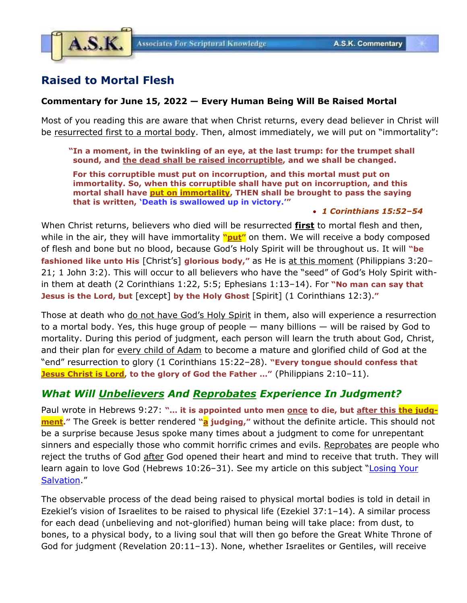

# **Raised to Mortal Flesh**

## **Commentary for June 15, 2022 — Every Human Being Will Be Raised Mortal**

Most of you reading this are aware that when Christ returns, every dead believer in Christ will be resurrected first to a mortal body. Then, almost immediately, we will put on "immortality":

**"In a moment, in the twinkling of an eye, at the last trump: for the trumpet shall sound, and the dead shall be raised incorruptible, and we shall be changed.**

**For this corruptible must put on incorruption, and this mortal must put on immortality. So, when this corruptible shall have put on incorruption, and this mortal shall have put on immortality, THEN shall be brought to pass the saying that is written, 'Death is swallowed up in victory.'"**

### • *1 Corinthians 15:52–54*

When Christ returns, believers who died will be resurrected **first** to mortal flesh and then, while in the air, they will have immortality **"put"** on them. We will receive a body composed of flesh and bone but no blood, because God's Holy Spirit will be throughout us. It will **"be fashioned like unto His** [Christ's] **glorious body,"** as He is at this moment (Philippians 3:20– 21; 1 John 3:2). This will occur to all believers who have the "seed" of God's Holy Spirit within them at death (2 Corinthians 1:22, 5:5; Ephesians 1:13–14). For **"No man can say that Jesus is the Lord, but** [except] **by the Holy Ghost** [Spirit] (1 Corinthians 12:3)**."**

Those at death who do not have God's Holy Spirit in them, also will experience a resurrection to a mortal body. Yes, this huge group of people — many billions — will be raised by God to mortality. During this period of judgment, each person will learn the truth about God, Christ, and their plan for every child of Adam to become a mature and glorified child of God at the "end" resurrection to glory (1 Corinthians 15:22–28). **"Every tongue should confess that Jesus Christ is Lord, to the glory of God the Father …"** (Philippians 2:10–11).

# *What Will Unbelievers And Reprobates Experience In Judgment?*

Paul wrote in Hebrews 9:27: "... it is appointed unto men once to die, but after this the judg**ment."** The Greek is better rendered **"a judging,"** without the definite article. This should not be a surprise because Jesus spoke many times about a judgment to come for unrepentant sinners and especially those who commit horrific crimes and evils. Reprobates are people who reject the truths of God after God opened their heart and mind to receive that truth. They will learn again to love God (Hebrews 10:26-31). See my article on this subject "Losing Your [Salvation](https://www.askelm.com/doctrine/d191201.pdf)."

The observable process of the dead being raised to physical mortal bodies is told in detail in Ezekiel's vision of Israelites to be raised to physical life (Ezekiel 37:1–14). A similar process for each dead (unbelieving and not-glorified) human being will take place: from dust, to bones, to a physical body, to a living soul that will then go before the Great White Throne of God for judgment (Revelation 20:11–13). None, whether Israelites or Gentiles, will receive